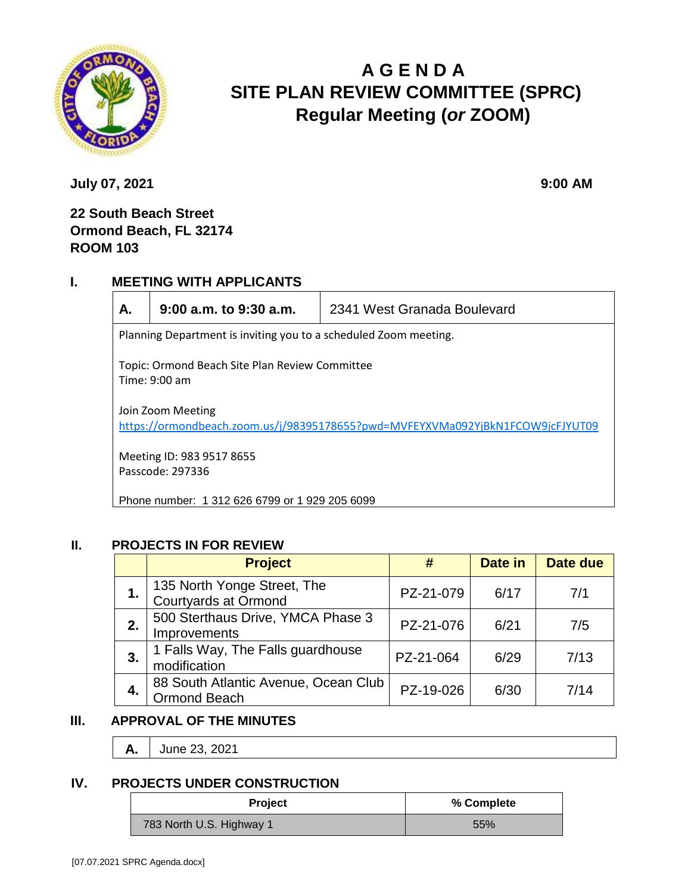

# **A G E N D A SITE PLAN REVIEW COMMITTEE (SPRC) Regular Meeting (***or* **ZOOM)**

**July 07, 2021 9:00 AM** 

## **22 South Beach Street Ormond Beach, FL 32174 ROOM 103**

## **I. MEETING WITH APPLICANTS**

|  |  | i<br>٠<br>۰. |
|--|--|--------------|
|--|--|--------------|

**A. 9:00 a.m. to 9:30 a.m.** 2341 West Granada Boulevard

Planning Department is inviting you to a scheduled Zoom meeting.

Topic: Ormond Beach Site Plan Review Committee Time: 9:00 am

Join Zoom Meeting <https://ormondbeach.zoom.us/j/98395178655?pwd=MVFEYXVMa092YjBkN1FCOW9jcFJYUT09>

Meeting ID: 983 9517 8655 Passcode: 297336

Phone number: 1 312 626 6799 or 1 929 205 6099

### **II. PROJECTS IN FOR REVIEW**

|    | <b>Project</b>                                              | #         | Date in | Date due |
|----|-------------------------------------------------------------|-----------|---------|----------|
|    | 135 North Yonge Street, The<br>Courtyards at Ormond         | PZ-21-079 | 6/17    | 7/1      |
| 2. | 500 Sterthaus Drive, YMCA Phase 3<br>Improvements           | PZ-21-076 | 6/21    | 7/5      |
| 3. | 1 Falls Way, The Falls guardhouse<br>modification           | PZ-21-064 | 6/29    | 7/13     |
| 4. | 88 South Atlantic Avenue, Ocean Club<br><b>Ormond Beach</b> | PZ-19-026 | 6/30    | 7/14     |

## **III. APPROVAL OF THE MINUTES**

**A.** June 23, 2021

#### **IV. PROJECTS UNDER CONSTRUCTION**

| <b>Project</b>           | % Complete |
|--------------------------|------------|
| 783 North U.S. Highway 1 | 55%        |